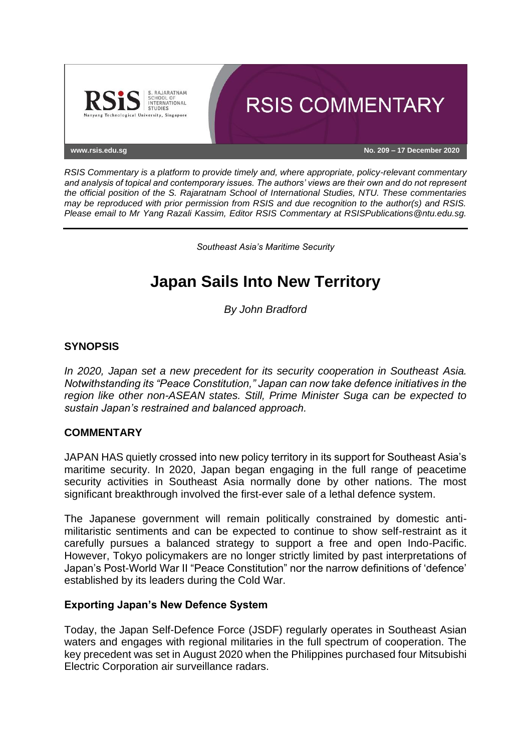

*RSIS Commentary is a platform to provide timely and, where appropriate, policy-relevant commentary and analysis of topical and contemporary issues. The authors' views are their own and do not represent the official position of the S. Rajaratnam School of International Studies, NTU. These commentaries may be reproduced with prior permission from RSIS and due recognition to the author(s) and RSIS. Please email to Mr Yang Razali Kassim, Editor RSIS Commentary at RSISPublications@ntu.edu.sg.*

*Southeast Asia's Maritime Security*

# **Japan Sails Into New Territory**

*By John Bradford*

# **SYNOPSIS**

*In 2020, Japan set a new precedent for its security cooperation in Southeast Asia. Notwithstanding its "Peace Constitution," Japan can now take defence initiatives in the region like other non-ASEAN states. Still, Prime Minister Suga can be expected to sustain Japan's restrained and balanced approach.*

### **COMMENTARY**

JAPAN HAS quietly crossed into new policy territory in its support for Southeast Asia's maritime security. In 2020, Japan began engaging in the full range of peacetime security activities in Southeast Asia normally done by other nations. The most significant breakthrough involved the first-ever sale of a lethal defence system.

The Japanese government will remain politically constrained by domestic antimilitaristic sentiments and can be expected to continue to show self-restraint as it carefully pursues a balanced strategy to support a free and open Indo-Pacific. However, Tokyo policymakers are no longer strictly limited by past interpretations of Japan's Post-World War II "Peace Constitution" nor the narrow definitions of 'defence' established by its leaders during the Cold War.

### **Exporting Japan's New Defence System**

Today, the Japan Self-Defence Force (JSDF) regularly operates in Southeast Asian waters and engages with regional militaries in the full spectrum of cooperation. The key precedent was set in August 2020 when the Philippines purchased four Mitsubishi Electric Corporation air surveillance radars.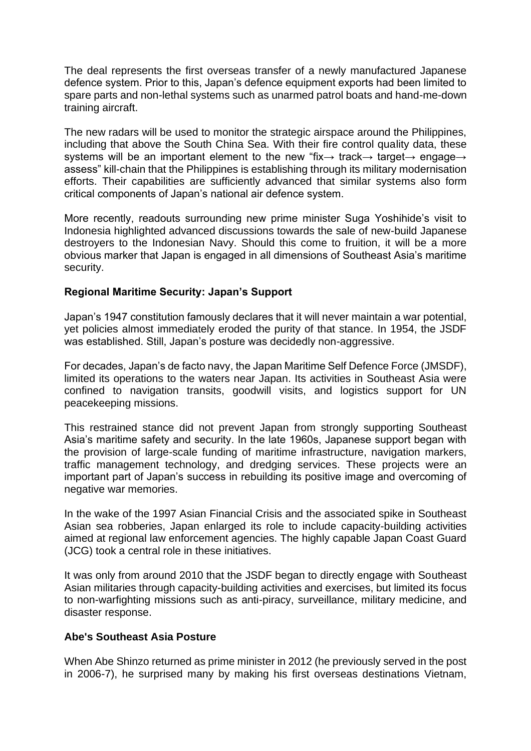The deal represents the first overseas transfer of a newly manufactured Japanese defence system. Prior to this, Japan's defence equipment exports had been limited to spare parts and non-lethal systems such as unarmed patrol boats and hand-me-down training aircraft.

The new radars will be used to monitor the strategic airspace around the Philippines, including that above the South China Sea. With their fire control quality data, these systems will be an important element to the new "fix→ track→ target→ engage→ assess" kill-chain that the Philippines is establishing through its military modernisation efforts. Their capabilities are sufficiently advanced that similar systems also form critical components of Japan's national air defence system.

More recently, readouts surrounding new prime minister Suga Yoshihide's visit to Indonesia highlighted advanced discussions towards the sale of new-build Japanese destroyers to the Indonesian Navy. Should this come to fruition, it will be a more obvious marker that Japan is engaged in all dimensions of Southeast Asia's maritime security.

# **Regional Maritime Security: Japan's Support**

Japan's 1947 constitution famously declares that it will never maintain a war potential, yet policies almost immediately eroded the purity of that stance. In 1954, the JSDF was established. Still, Japan's posture was decidedly non-aggressive.

For decades, Japan's de facto navy, the Japan Maritime Self Defence Force (JMSDF), limited its operations to the waters near Japan. Its activities in Southeast Asia were confined to navigation transits, goodwill visits, and logistics support for UN peacekeeping missions.

This restrained stance did not prevent Japan from strongly supporting Southeast Asia's maritime safety and security. In the late 1960s, Japanese support began with the provision of large-scale funding of maritime infrastructure, navigation markers, traffic management technology, and dredging services. These projects were an important part of Japan's success in rebuilding its positive image and overcoming of negative war memories.

In the wake of the 1997 Asian Financial Crisis and the associated spike in Southeast Asian sea robberies, Japan enlarged its role to include capacity-building activities aimed at regional law enforcement agencies. The highly capable Japan Coast Guard (JCG) took a central role in these initiatives.

It was only from around 2010 that the JSDF began to directly engage with Southeast Asian militaries through capacity-building activities and exercises, but limited its focus to non-warfighting missions such as anti-piracy, surveillance, military medicine, and disaster response.

### **Abe's Southeast Asia Posture**

When Abe Shinzo returned as prime minister in 2012 (he previously served in the post in 2006-7), he surprised many by making his first overseas destinations Vietnam,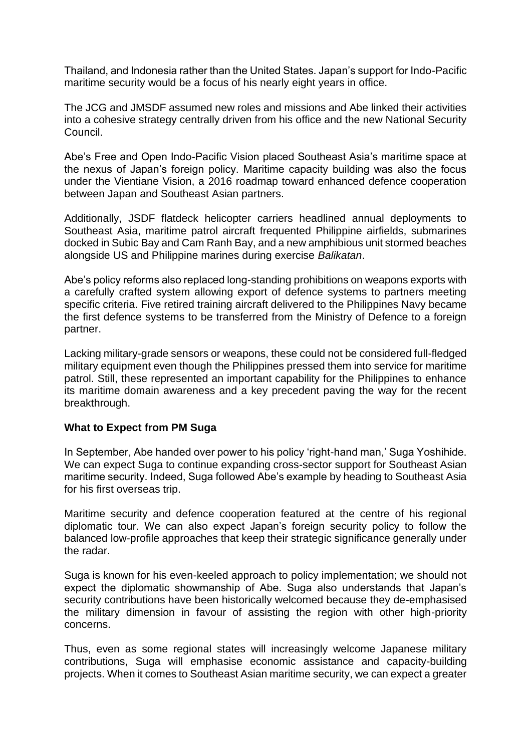Thailand, and Indonesia rather than the United States. Japan's support for Indo-Pacific maritime security would be a focus of his nearly eight years in office.

The JCG and JMSDF assumed new roles and missions and Abe linked their activities into a cohesive strategy centrally driven from his office and the new National Security Council.

Abe's Free and Open Indo-Pacific Vision placed Southeast Asia's maritime space at the nexus of Japan's foreign policy. Maritime capacity building was also the focus under the Vientiane Vision, a 2016 roadmap toward enhanced defence cooperation between Japan and Southeast Asian partners.

Additionally, JSDF flatdeck helicopter carriers headlined annual deployments to Southeast Asia, maritime patrol aircraft frequented Philippine airfields, submarines docked in Subic Bay and Cam Ranh Bay, and a new amphibious unit stormed beaches alongside US and Philippine marines during exercise *Balikatan*.

Abe's policy reforms also replaced long-standing prohibitions on weapons exports with a carefully crafted system allowing export of defence systems to partners meeting specific criteria. Five retired training aircraft delivered to the Philippines Navy became the first defence systems to be transferred from the Ministry of Defence to a foreign partner.

Lacking military-grade sensors or weapons, these could not be considered full-fledged military equipment even though the Philippines pressed them into service for maritime patrol. Still, these represented an important capability for the Philippines to enhance its maritime domain awareness and a key precedent paving the way for the recent breakthrough.

### **What to Expect from PM Suga**

In September, Abe handed over power to his policy 'right-hand man,' Suga Yoshihide. We can expect Suga to continue expanding cross-sector support for Southeast Asian maritime security. Indeed, Suga followed Abe's example by heading to Southeast Asia for his first overseas trip.

Maritime security and defence cooperation featured at the centre of his regional diplomatic tour. We can also expect Japan's foreign security policy to follow the balanced low-profile approaches that keep their strategic significance generally under the radar.

Suga is known for his even-keeled approach to policy implementation; we should not expect the diplomatic showmanship of Abe. Suga also understands that Japan's security contributions have been historically welcomed because they de-emphasised the military dimension in favour of assisting the region with other high-priority concerns.

Thus, even as some regional states will increasingly welcome Japanese military contributions, Suga will emphasise economic assistance and capacity-building projects. When it comes to Southeast Asian maritime security, we can expect a greater